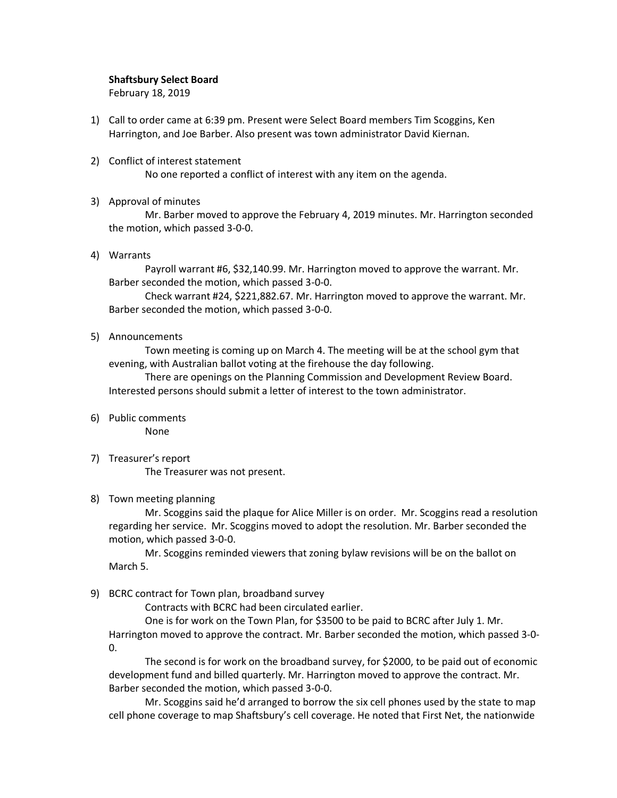## Shaftsbury Select Board

February 18, 2019

- 1) Call to order came at 6:39 pm. Present were Select Board members Tim Scoggins, Ken Harrington, and Joe Barber. Also present was town administrator David Kiernan.
- 2) Conflict of interest statement No one reported a conflict of interest with any item on the agenda.
- 3) Approval of minutes

Mr. Barber moved to approve the February 4, 2019 minutes. Mr. Harrington seconded the motion, which passed 3-0-0.

4) Warrants

Payroll warrant #6, \$32,140.99. Mr. Harrington moved to approve the warrant. Mr. Barber seconded the motion, which passed 3-0-0.

Check warrant #24, \$221,882.67. Mr. Harrington moved to approve the warrant. Mr. Barber seconded the motion, which passed 3-0-0.

5) Announcements

Town meeting is coming up on March 4. The meeting will be at the school gym that evening, with Australian ballot voting at the firehouse the day following.

There are openings on the Planning Commission and Development Review Board. Interested persons should submit a letter of interest to the town administrator.

6) Public comments

None

7) Treasurer's report

The Treasurer was not present.

# 8) Town meeting planning

Mr. Scoggins said the plaque for Alice Miller is on order. Mr. Scoggins read a resolution regarding her service. Mr. Scoggins moved to adopt the resolution. Mr. Barber seconded the motion, which passed 3-0-0.

Mr. Scoggins reminded viewers that zoning bylaw revisions will be on the ballot on March 5.

9) BCRC contract for Town plan, broadband survey

Contracts with BCRC had been circulated earlier.

One is for work on the Town Plan, for \$3500 to be paid to BCRC after July 1. Mr. Harrington moved to approve the contract. Mr. Barber seconded the motion, which passed 3-0- 0.

The second is for work on the broadband survey, for \$2000, to be paid out of economic development fund and billed quarterly. Mr. Harrington moved to approve the contract. Mr. Barber seconded the motion, which passed 3-0-0.

Mr. Scoggins said he'd arranged to borrow the six cell phones used by the state to map cell phone coverage to map Shaftsbury's cell coverage. He noted that First Net, the nationwide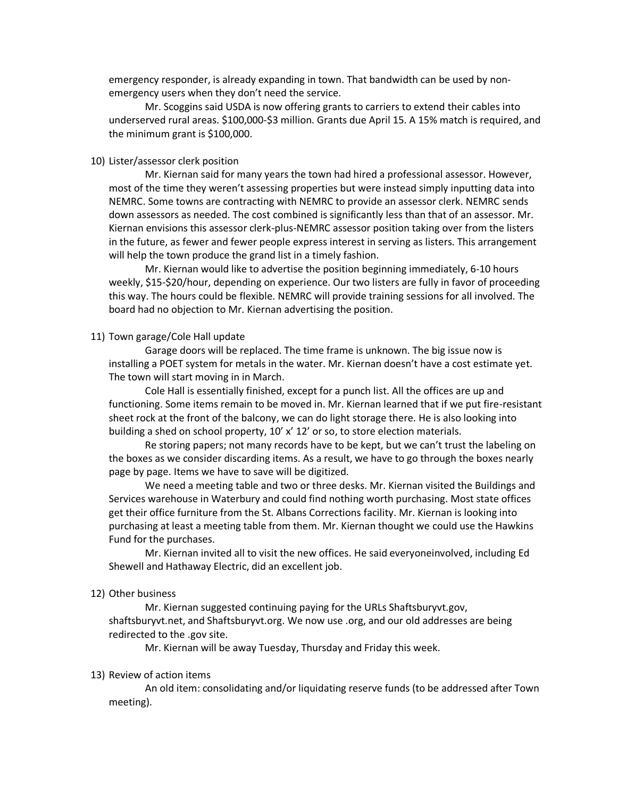emergency responder, is already expanding in town. That bandwidth can be used by nonemergency users when they don't need the service.

Mr. Scoggins said USDA is now offering grants to carriers to extend their cables into underserved rural areas. \$100,000-\$3 million. Grants due April 15. A 15% match is required, and the minimum grant is \$100,000.

### 10) Lister/assessor clerk position

Mr. Kiernan said for many years the town had hired a professional assessor. However, most of the time they weren't assessing properties but were instead simply inputting data into NEMRC. Some towns are contracting with NEMRC to provide an assessor clerk. NEMRC sends down assessors as needed. The cost combined is significantly less than that of an assessor. Mr. Kiernan envisions this assessor clerk-plus-NEMRC assessor position taking over from the listers in the future, as fewer and fewer people express interest in serving as listers. This arrangement will help the town produce the grand list in a timely fashion.

Mr. Kiernan would like to advertise the position beginning immediately, 6-10 hours weekly, \$15-\$20/hour, depending on experience. Our two listers are fully in favor of proceeding this way. The hours could be flexible. NEMRC will provide training sessions for all involved. The board had no objection to Mr. Kiernan advertising the position.

### 11) Town garage/Cole Hall update

Garage doors will be replaced. The time frame is unknown. The big issue now is installing a POET system for metals in the water. Mr. Kiernan doesn't have a cost estimate yet. The town will start moving in in March.

Cole Hall is essentially finished, except for a punch list. All the offices are up and functioning. Some items remain to be moved in. Mr. Kiernan learned that if we put fire-resistant sheet rock at the front of the balcony, we can do light storage there. He is also looking into building a shed on school property, 10' x' 12' or so, to store election materials.

Re storing papers; not many records have to be kept, but we can't trust the labeling on the boxes as we consider discarding items. As a result, we have to go through the boxes nearly page by page. Items we have to save will be digitized.

We need a meeting table and two or three desks. Mr. Kiernan visited the Buildings and Services warehouse in Waterbury and could find nothing worth purchasing. Most state offices get their office furniture from the St. Albans Corrections facility. Mr. Kiernan is looking into purchasing at least a meeting table from them. Mr. Kiernan thought we could use the Hawkins Fund for the purchases.

Mr. Kiernan invited all to visit the new offices. He said everyoneinvolved, including Ed Shewell and Hathaway Electric, did an excellent job.

#### 12) Other business

Mr. Kiernan suggested continuing paying for the URLs Shaftsburyvt.gov, shaftsburyvt.net, and Shaftsburyvt.org. We now use .org, and our old addresses are being redirected to the .gov site.

Mr. Kiernan will be away Tuesday, Thursday and Friday this week.

#### 13) Review of action items

An old item: consolidating and/or liquidating reserve funds (to be addressed after Town meeting).